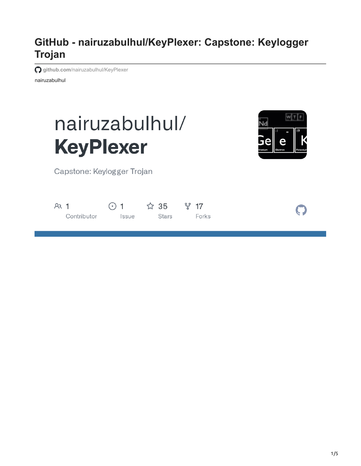# **GitHub - nairuzabulhul/KeyPlexer: Capstone: Keylogger Trojan**

**github.com**[/nairuzabulhul/KeyPlexer](https://github.com/nairuzabulhul/KeyPlexer)

nairuzabulhul





Capstone: Keylogger Trojan

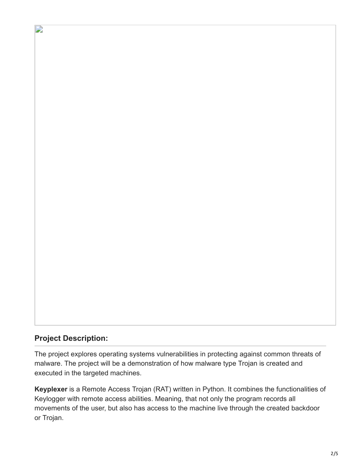### **Project Description:**

D

The project explores operating systems vulnerabilities in protecting against common threats of malware. The project will be a demonstration of how malware type Trojan is created and executed in the targeted machines.

**Keyplexer** is a Remote Access Trojan (RAT) written in Python. It combines the functionalities of Keylogger with remote access abilities. Meaning, that not only the program records all movements of the user, but also has access to the machine live through the created backdoor or Trojan.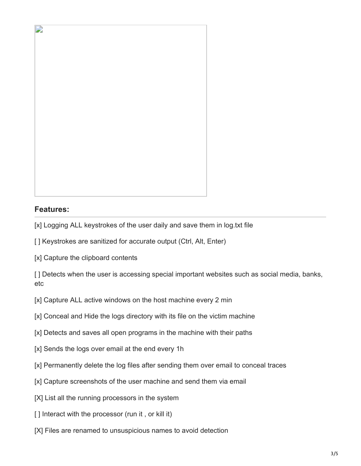

## **Features:**

- [x] Logging ALL keystrokes of the user daily and save them in log.txt file
- [ ] Keystrokes are sanitized for accurate output (Ctrl, Alt, Enter)
- [x] Capture the clipboard contents

[] Detects when the user is accessing special important websites such as social media, banks, etc

- [x] Capture ALL active windows on the host machine every 2 min
- [x] Conceal and Hide the logs directory with its file on the victim machine
- [x] Detects and saves all open programs in the machine with their paths
- [x] Sends the logs over email at the end every 1h
- [x] Permanently delete the log files after sending them over email to conceal traces
- [x] Capture screenshots of the user machine and send them via email
- [X] List all the running processors in the system
- [] Interact with the processor (run it, or kill it)
- [X] Files are renamed to unsuspicious names to avoid detection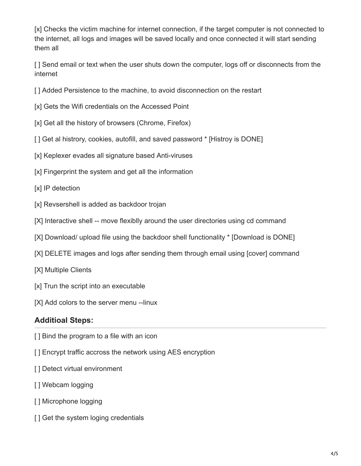[x] Checks the victim machine for internet connection, if the target computer is not connected to the internet, all logs and images will be saved locally and once connected it will start sending them all

[ ] Send email or text when the user shuts down the computer, logs off or disconnects from the internet

- [] Added Persistence to the machine, to avoid disconnection on the restart
- [x] Gets the Wifi credentials on the Accessed Point
- [x] Get all the history of browsers (Chrome, Firefox)
- [ ] Get al histrory, cookies, autofill, and saved password \* [Histroy is DONE]
- [x] Keplexer evades all signature based Anti-viruses
- [x] Fingerprint the system and get all the information
- [x] IP detection
- [x] Revsershell is added as backdoor trojan
- [X] Interactive shell -- move flexiblly around the user directories using cd command
- [X] Download/ upload file using the backdoor shell functionality \* [Download is DONE]
- [X] DELETE images and logs after sending them through email using [cover] command
- [X] Multiple Clients
- [x] Trun the script into an executable
- [X] Add colors to the server menu --linux

#### **Additioal Steps:**

- [] Bind the program to a file with an icon
- [] Encrypt traffic accross the network using AES encryption
- [] Detect virtual environment
- [ ] Webcam logging
- [ ] Microphone logging
- [ ] Get the system loging credentials